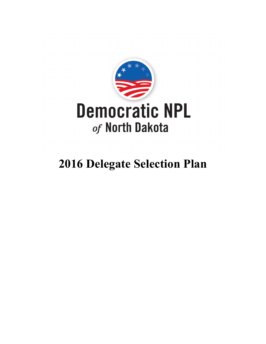

# **2016 Delegate Selection Plan**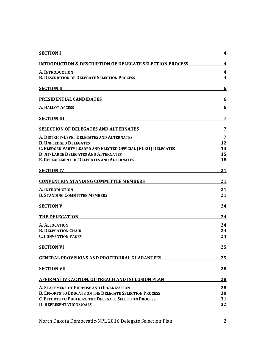| <b>SECTION I</b>                                                                                                                            | 4              |
|---------------------------------------------------------------------------------------------------------------------------------------------|----------------|
| <b>INTRODUCTION &amp; DESCRIPTION OF DELEGATE SELECTION PROCESS</b>                                                                         | 4              |
| A. INTRODUCTION                                                                                                                             | 4              |
| <b>B. DESCRIPTION OF DELEGATE SELECTION PROCESS</b>                                                                                         | 4              |
| <u> 1989 - Johann Stoff, deutscher Stoffen und der Stoffen und der Stoffen und der Stoffen und der Stoffen und der</u><br><b>SECTION II</b> | 6              |
| PRESIDENTIAL CANDIDATES <b>Example 2018</b>                                                                                                 | 6              |
| A. BALLOT ACCESS                                                                                                                            | 6              |
| <b>SECTION III</b>                                                                                                                          | 7              |
| <b>SELECTION OF DELEGATES AND ALTERNATES</b>                                                                                                | $\overline{7}$ |
| A. DISTRICT-LEVEL DELEGATES AND ALTERNATES                                                                                                  | $\overline{7}$ |
| <b>B. UNPLEDGED DELEGATES</b>                                                                                                               | 12             |
| C. PLEDGED PARTY LEADER AND ELECTED OFFICIAL (PLEO) DELEGATES                                                                               | 13             |
| <b>D. AT-LARGE DELEGATES AND ALTERNATES</b>                                                                                                 | 15             |
| <b>E. REPLACEMENT OF DELEGATES AND ALTERNATES</b>                                                                                           | 18             |
| <b>SECTION IV</b>                                                                                                                           | 21             |
| <b>CONVENTION STANDING COMMITTEE MEMBERS</b>                                                                                                | 21             |
| <b>A. INTRODUCTION</b>                                                                                                                      | 21             |
| <b>B. STANDING COMMITTEE MEMBERS</b>                                                                                                        | 21             |
| SECTION V                                                                                                                                   | 24             |
| <b>THE DELEGATION</b>                                                                                                                       | 24             |
| A. ALLOCATION                                                                                                                               | 24             |
| <b>B. DELEGATION CHAIR</b>                                                                                                                  | 24             |
| <b>C. CONVENTION PAGES</b>                                                                                                                  | 24             |
| <b>SECTION VI</b>                                                                                                                           | 25             |
| <b>GENERAL PROVISIONS AND PROCEDURAL GUARANTEES</b>                                                                                         | 25             |
| <b>SECTION VII</b>                                                                                                                          | <b>28</b>      |
| <b>AFFIRMATIVE ACTION, OUTREACH AND INCLUSION PLAN</b>                                                                                      | 28             |
| <b>A. STATEMENT OF PURPOSE AND ORGANIZATION</b>                                                                                             | 28             |
| <b>B. EFFORTS TO EDUCATE ON THE DELEGATE SELECTION PROCESS</b>                                                                              | 30             |
| <b>C. EFFORTS TO PUBLICIZE THE DELEGATE SELECTION PROCESS</b>                                                                               | 31             |
| <b>D. REPRESENTATION GOALS</b>                                                                                                              | 32             |
|                                                                                                                                             |                |

North Dakota Democratic-NPL 2016 Delegate Selection Plan 2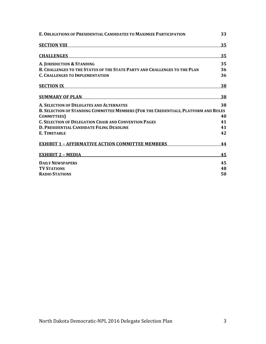| E. OBLIGATIONS OF PRESIDENTIAL CANDIDATES TO MAXIMIZE PARTICIPATION                 | 33 |
|-------------------------------------------------------------------------------------|----|
| <b>SECTION VIII</b>                                                                 | 35 |
| <b>CHALLENGES</b>                                                                   | 35 |
| A. JURISDICTION & STANDING                                                          | 35 |
| <b>B. CHALLENGES TO THE STATUS OF THE STATE PARTY AND CHALLENGES TO THE PLAN</b>    | 36 |
| <b>C. CHALLENGES TO IMPLEMENTATION</b>                                              | 36 |
| <b>SECTION IX</b>                                                                   | 38 |
| <b>SUMMARY OF PLAN</b>                                                              | 38 |
| A. SELECTION OF DELEGATES AND ALTERNATES                                            | 38 |
| B. SELECTION OF STANDING COMMITTEE MEMBERS (FOR THE CREDENTIALS, PLATFORM AND RULES |    |
| <b>COMMITTEES</b> )                                                                 | 40 |
| <b>C. SELECTION OF DELEGATION CHAIR AND CONVENTION PAGES</b>                        | 41 |
| D. PRESIDENTIAL CANDIDATE FILING DEADLINE                                           | 41 |
| <b>E. TIMETABLE</b>                                                                 | 42 |
| <b>EXHIBIT 1 - AFFIRMATIVE ACTION COMMITTEE MEMBERS</b>                             | 44 |
| <b>EXHIBIT 2 - MEDIA</b>                                                            | 45 |
| <b>DAILY NEWSPAPERS</b>                                                             | 45 |
| <b>TV STATIONS</b>                                                                  | 48 |
| <b>RADIO STATIONS</b>                                                               | 50 |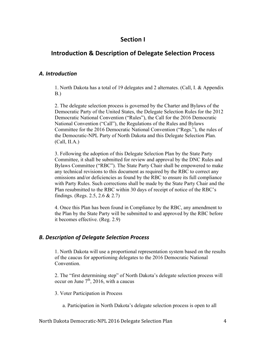## **Section I**

# **Introduction & Description of Delegate Selection Process**

#### *A. Introduction*

1. North Dakota has a total of 19 delegates and 2 alternates. (Call, I. & Appendix B.)

2. The delegate selection process is governed by the Charter and Bylaws of the Democratic Party of the United States, the Delegate Selection Rules for the 2012 Democratic National Convention ("Rules"), the Call for the 2016 Democratic National Convention ("Call"), the Regulations of the Rules and Bylaws Committee for the 2016 Democratic National Convention ("Regs."), the rules of the Democratic-NPL Party of North Dakota and this Delegate Selection Plan. (Call, II.A.)

3. Following the adoption of this Delegate Selection Plan by the State Party Committee, it shall be submitted for review and approval by the DNC Rules and Bylaws Committee ("RBC"). The State Party Chair shall be empowered to make any technical revisions to this document as required by the RBC to correct any omissions and/or deficiencies as found by the RBC to ensure its full compliance with Party Rules. Such corrections shall be made by the State Party Chair and the Plan resubmitted to the RBC within 30 days of receipt of notice of the RBC's findings. (Regs. 2.5, 2.6 & 2.7)

4. Once this Plan has been found in Compliance by the RBC, any amendment to the Plan by the State Party will be submitted to and approved by the RBC before it becomes effective. (Reg. 2.9)

## *B. Description of Delegate Selection Process*

1. North Dakota will use a proportional representation system based on the results of the caucus for apportioning delegates to the 2016 Democratic National Convention.

2. The "first determining step" of North Dakota's delegate selection process will occur on June  $7<sup>th</sup>$ , 2016, with a caucus

3. Voter Participation in Process

a. Participation in North Dakota's delegate selection process is open to all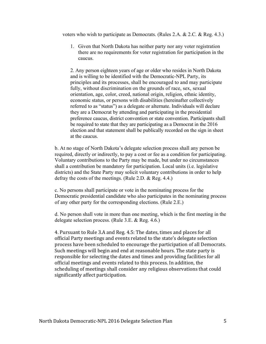voters who wish to participate as Democrats. (Rules 2.A. & 2.C. & Reg. 4.3.)

1. Given that North Dakota has neither party nor any voter registration there are no requirements for voter registration for participation in the caucus.

2. Any person eighteen years of age or older who resides in North Dakota and is willing to be identified with the Democratic-NPL Party, its principles and its processes, shall be encouraged to and may participate fully, without discrimination on the grounds of race, sex, sexual orientation, age, color, creed, national origin, religion, ethnic identity, economic status, or persons with disabilities (hereinafter collectively referred to as "status") as a delegate or alternate. Individuals will declare they are a Democrat by attending and participating in the presidential preference caucus, district convention or state convention. Participants shall be required to state that they are participating as a Democrat in the 2016 election and that statement shall be publically recorded on the sign in sheet at the caucus.

b. At no stage of North Dakota's delegate selection process shall any person be required, directly or indirectly, to pay a cost or fee as a condition for participating. Voluntary contributions to the Party may be made, but under no circumstances shall a contribution be mandatory for participation. Local units (i.e. legislative districts) and the State Party may solicit voluntary contributions in order to help defray the costs of the meetings. (Rule 2.D. & Reg. 4.4.)

c. No persons shall participate or vote in the nominating process for the Democratic presidential candidate who also participates in the nominating process of any other party for the corresponding elections. (Rule 2.E.)

d. No person shall vote in more than one meeting, which is the first meeting in the delegate selection process. (Rule 3.E. & Reg. 4.6.)

4. Pursuant to Rule 3.A and Reg. 4.5: The dates, times and places for all official Party meetings and events related to the state's delegate selection process have been scheduled to encourage the participation of all Democrats. Such meetings will begin and end at reasonable hours. The state party is responsible for selecting the dates and times and providing facilities for all official meetings and events related to this process. In addition, the scheduling of meetings shall consider any religious observations that could significantly affect participation.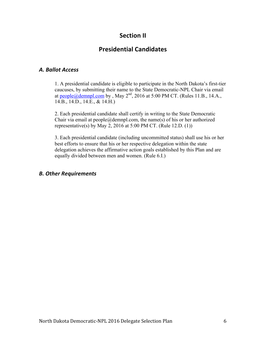# **Section II**

# **Presidential Candidates**

## *A. Ballot Access*

1. A presidential candidate is eligible to participate in the North Dakota's first-tier caucuses, by submitting their name to the State Democratic-NPL Chair via email at people@demnpl.com by , May  $2<sup>nd</sup>$ , 2016 at 5:00 PM CT. (Rules 11.B., 14.A., 14.B., 14.D., 14.E., & 14.H.)

2. Each presidential candidate shall certify in writing to the State Democratic Chair via email at  $people@dempl.com$ , the name(s) of his or her authorized representative(s) by May 2, 2016 at 5:00 PM CT. (Rule 12.D.  $(1)$ )

3. Each presidential candidate (including uncommitted status) shall use his or her best efforts to ensure that his or her respective delegation within the state delegation achieves the affirmative action goals established by this Plan and are equally divided between men and women. (Rule 6.I.)

## *B. Other Requirements*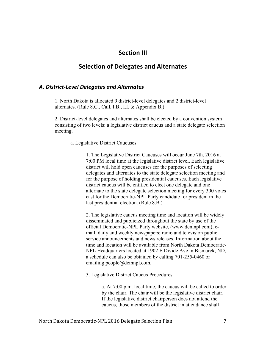## **Section III**

## **Selection of Delegates and Alternates**

#### *A. District-Level Delegates and Alternates*

1. North Dakota is allocated 9 district-level delegates and 2 district-level alternates. (Rule 8.C., Call, I.B., I.I. & Appendix B.)

2. District-level delegates and alternates shall be elected by a convention system consisting of two levels: a legislative district caucus and a state delegate selection meeting.

a. Legislative District Caucuses

1. The Legislative District Caucuses will occur June 7th, 2016 at 7:00 PM local time at the legislative district level. Each legislative district will hold open caucuses for the purposes of selecting delegates and alternates to the state delegate selection meeting and for the purpose of holding presidential caucuses. Each legislative district caucus will be entitled to elect one delegate and one alternate to the state delegate selection meeting for every 300 votes cast for the Democratic-NPL Party candidate for president in the last presidential election. (Rule 8.B.)

2. The legislative caucus meeting time and location will be widely disseminated and publicized throughout the state by use of the official Democratic-NPL Party website, (www.demnpl.com), email, daily and weekly newspapers; radio and television public service announcements and news releases. Information about the time and location will be available from North Dakota Democratic-NPL Headquarters located at 1902 E Divide Ave in Bismarck, ND, a schedule can also be obtained by calling 701-255-0460 or emailing people@demnpl.com.

3. Legislative District Caucus Procedures

a. At 7:00 p.m. local time, the caucus will be called to order by the chair. The chair will be the legislative district chair. If the legislative district chairperson does not attend the caucus, those members of the district in attendance shall

North Dakota Democratic-NPL 2016 Delegate Selection Plan 7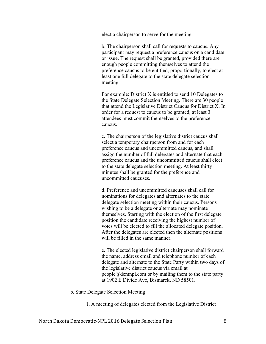elect a chairperson to serve for the meeting.

b. The chairperson shall call for requests to caucus. Any participant may request a preference caucus on a candidate or issue. The request shall be granted, provided there are enough people committing themselves to attend the preference caucus to be entitled, proportionally, to elect at least one full delegate to the state delegate selection meeting.

 For example: District X is entitled to send 10 Delegates to the State Delegate Selection Meeting. There are 30 people that attend the Legislative District Caucus for District X. In order for a request to caucus to be granted, at least 3 attendees must commit themselves to the preference caucus.

c. The chairperson of the legislative district caucus shall select a temporary chairperson from and for each preference caucus and uncommitted caucus, and shall assign the number of full delegates and alternate that each preference caucus and the uncommitted caucus shall elect to the state delegate selection meeting. At least thirty minutes shall be granted for the preference and uncommitted caucuses.

 d. Preference and uncommitted caucuses shall call for nominations for delegates and alternates to the state delegate selection meeting within their caucus. Persons wishing to be a delegate or alternate may nominate themselves. Starting with the election of the first delegate position the candidate receiving the highest number of votes will be elected to fill the allocated delegate position. After the delegates are elected then the alternate positions will be filled in the same manner.

 e. The elected legislative district chairperson shall forward the name, address email and telephone number of each delegate and alternate to the State Party within two days of the legislative district caucus via email at people@demnpl.com or by mailing them to the state party at 1902 E Divide Ave, Bismarck, ND 58501.

b. State Delegate Selection Meeting

1. A meeting of delegates elected from the Legislative District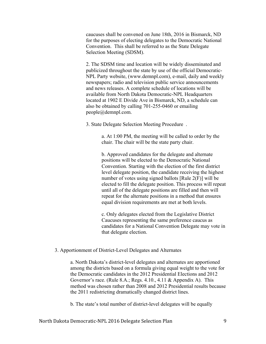caucuses shall be convened on June 18th, 2016 in Bismarck, ND for the purposes of electing delegates to the Democratic National Convention. This shall be referred to as the State Delegate Selection Meeting (SDSM).

 2. The SDSM time and location will be widely disseminated and publicized throughout the state by use of the official Democratic-NPL Party website, (www.demnpl.com), e-mail, daily and weekly newspapers; radio and television public service announcements and news releases. A complete schedule of locations will be available from North Dakota Democratic-NPL Headquarters located at 1902 E Divide Ave in Bismarck, ND, a schedule can also be obtained by calling 701-255-0460 or emailing people@demnpl.com.

3. State Delegate Selection Meeting Procedure .

a. At 1:00 PM, the meeting will be called to order by the chair. The chair will be the state party chair.

b. Approved candidates for the delegate and alternate positions will be elected to the Democratic National Convention. Starting with the election of the first district level delegate position, the candidate receiving the highest number of votes using signed ballots [Rule 2(F)] will be elected to fill the delegate position. This process will repeat until all of the delegate positions are filled and then will repeat for the alternate positions in a method that ensures equal division requirements are met at both levels.

c. Only delegates elected from the Legislative District Caucuses representing the same preference caucus as candidates for a National Convention Delegate may vote in that delegate election.

#### 3. Apportionment of District-Level Delegates and Alternates

a. North Dakota's district-level delegates and alternates are apportioned among the districts based on a formula giving equal weight to the vote for the Democratic candidates in the 2012 Presidential Elections and 2012 Governor's race. (Rule 8.A.; Regs. 4.10., 4.11 & Appendix A). This method was chosen rather than 2008 and 2012 Presidential results because the 2011 redistricting dramatically changed district lines.

b. The state's total number of district-level delegates will be equally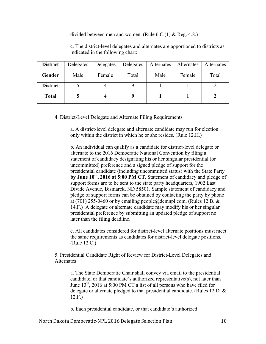divided between men and women. (Rule 6.C.(1) & Reg. 4.8.)

c. The district-level delegates and alternates are apportioned to districts as indicated in the following chart:

| <b>District</b> | Delegates | Delegates | Delegates | Alternates | Alternates | Alternates |
|-----------------|-----------|-----------|-----------|------------|------------|------------|
| Gender          | Male      | Female    | Total     | Male       | Female     | Total      |
| <b>District</b> |           |           |           |            |            |            |
| <b>Total</b>    |           |           |           |            |            |            |

4. District-Level Delegate and Alternate Filing Requirements

a. A district-level delegate and alternate candidate may run for election only within the district in which he or she resides. (Rule 12.H.)

b. An individual can qualify as a candidate for district-level delegate or alternate to the 2016 Democratic National Convention by filing a statement of candidacy designating his or her singular presidential (or uncommitted) preference and a signed pledge of support for the presidential candidate (including uncommitted status) with the State Party **by June 10th, 2016 at 5:00 PM CT**. Statement of candidacy and pledge of support forms are to be sent to the state party headquarters, 1902 East Divide Avenue, Bismarck, ND 58501. Sample statement of candidacy and pledge of support forms can be obtained by contacting the party by phone at (701) 255-0460 or by emailing people@demnpl.com. (Rules 12.B. & 14.F.) A delegate or alternate candidate may modify his or her singular presidential preference by submitting an updated pledge of support no later than the filing deadline.

c. All candidates considered for district-level alternate positions must meet the same requirements as candidates for district-level delegate positions. (Rule 12.C.)

5. Presidential Candidate Right of Review for District-Level Delegates and Alternates

a. The State Democratic Chair shall convey via email to the presidential candidate, or that candidate's authorized representative(s), not later than June  $13<sup>th</sup>$ , 2016 at 5:00 PM CT a list of all persons who have filed for delegate or alternate pledged to that presidential candidate. (Rules 12.D. & 12.F.)

b. Each presidential candidate, or that candidate's authorized

North Dakota Democratic-NPL 2016 Delegate Selection Plan 10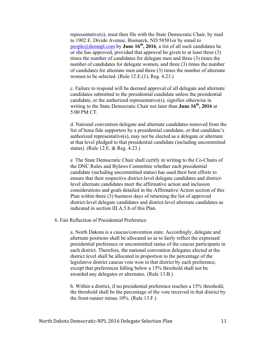representative(s), must then file with the State Democratic Chair, by mail to 1902 E. Divide Avenue, Bismarck, ND 58501or by email to people@demnpl.com by **June 16<sup>th</sup>**, 2016, a list of all such candidates he or she has approved, provided that approval be given to at least three (3) times the number of candidates for delegate men and three (3) times the number of candidates for delegate women, and three (3) times the number of candidates for alternate men and three (3) times the number of alternate women to be selected. (Rule 12.E.(1), Reg. 4.23.)

c. Failure to respond will be deemed approval of all delegate and alternate candidates submitted to the presidential candidate unless the presidential candidate, or the authorized representative(s), signifies otherwise in writing to the State Democratic Chair not later than **June 16<sup>th</sup>**, 2016 at 5:00 PM CT.

d. National convention delegate and alternate candidates removed from the list of bona fide supporters by a presidential candidate, or that candidate's authorized representative(s), may not be elected as a delegate or alternate at that level pledged to that presidential candidate (including uncommitted status). (Rule 12.E. & Reg. 4.23.)

e. The State Democratic Chair shall certify in writing to the Co-Chairs of the DNC Rules and Bylaws Committee whether each presidential candidate (including uncommitted status) has used their best efforts to ensure that their respective district-level delegate candidates and districtlevel alternate candidates meet the affirmative action and inclusion considerations and goals detailed in the Affirmative Action section of this Plan within three (3) business days of returning the list of approved district-level delegate candidates and district-level alternate candidates as indicated in section III.A.5.b of this Plan.

#### 6. Fair Reflection of Presidential Preference

a. North Dakota is a caucus/convention state. Accordingly, delegate and alternate positions shall be allocated so as to fairly reflect the expressed presidential preference or uncommitted status of the caucus participants in each district. Therefore, the national convention delegates elected at the district level shall be allocated in proportion to the percentage of the legislative district caucus vote won in that district by each preference, except that preferences falling below a 15% threshold shall not be awarded any delegates or alternates. (Rule 13.B.)

b. Within a district, if no presidential preference reaches a 15% threshold, the threshold shall be the percentage of the vote received in that district by the front-runner minus 10%. (Rule 13.F.)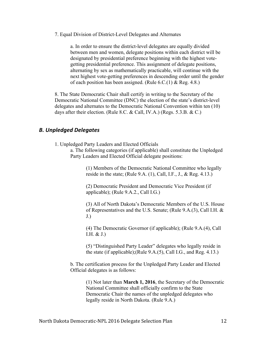7. Equal Division of District-Level Delegates and Alternates

a. In order to ensure the district-level delegates are equally divided between men and women, delegate positions within each district will be designated by presidential preference beginning with the highest votegetting presidential preference. This assignment of delegate positions, alternating by sex as mathematically practicable, will continue with the next highest vote-getting preferences in descending order until the gender of each position has been assigned. (Rule 6.C.(1) & Reg. 4.8.)

8. The State Democratic Chair shall certify in writing to the Secretary of the Democratic National Committee (DNC) the election of the state's district-level delegates and alternates to the Democratic National Convention within ten (10) days after their election. (Rule 8.C. & Call, IV.A.) (Regs. 5.3.B. & C.)

#### *B. Unpledged Delegates*

1. Unpledged Party Leaders and Elected Officials

a. The following categories (if applicable) shall constitute the Unpledged Party Leaders and Elected Official delegate positions:

> (1) Members of the Democratic National Committee who legally reside in the state; (Rule 9.A.  $(1)$ , Call, I.F., J., & Reg. 4.13.)

(2) Democratic President and Democratic Vice President (if applicable); (Rule 9.A.2., Call I.G.)

(3) All of North Dakota's Democratic Members of the U.S. House of Representatives and the U.S. Senate; (Rule 9.A.(3), Call I.H. & J.)

(4) The Democratic Governor (if applicable); (Rule 9.A.(4), Call I.H. & J.)

(5) "Distinguished Party Leader" delegates who legally reside in the state (if applicable);(Rule 9.A.(5), Call I.G., and Reg. 4.13.)

b. The certification process for the Unpledged Party Leader and Elected Official delegates is as follows:

> (1) Not later than **March 1, 2016**, the Secretary of the Democratic National Committee shall officially confirm to the State Democratic Chair the names of the unpledged delegates who legally reside in North Dakota. (Rule 9.A.)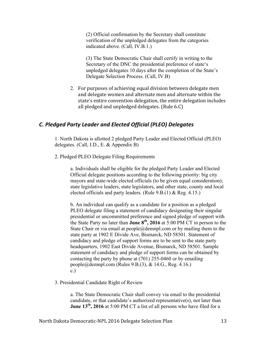(2) Official confirmation by the Secretary shall constitute verification of the unpledged delegates from the categories indicated above. (Call, IV.B.1.)

(3) The State Democratic Chair shall certify in writing to the Secretary of the DNC the presidential preference of state's unpledged delegates 10 days after the completion of the State's Delegate Selection Process. (Call, IV.B)

2. For purposes of achieving equal division between delegate men and delegate women and alternate men and alternate within the state's entire convention delegation, the entire delegation includes all pledged and unpledged delegates.  $(Rule 6.C)$ 

### *C. Pledged Party Leader and Elected Official (PLEO) Delegates*

1. North Dakota is allotted 2 pledged Party Leader and Elected Official (PLEO) delegates. (Call, I.D., E. & Appendix B)

2. Pledged PLEO Delegate Filing Requirements

a. Individuals shall be eligible for the pledged Party Leader and Elected Official delegate positions according to the following priority: big city mayors and state-wide elected officials (to be given equal consideration); state legislative leaders, state legislators, and other state, county and local elected officials and party leaders. (Rule 9.B.(1) & Reg. 4.15.)

b. An individual can qualify as a candidate for a position as a pledged PLEO delegate filing a statement of candidacy designating their singular presidential or uncommitted preference and signed pledge of support with the State Party no later than **June 8th, 2016** at 5:00 PM CT in person to the State Chair or via email at  $people@dempl.com$  or by mailing them to the state party at 1902 E Divide Ave, Bismarck, ND 58501. Statement of candidacy and pledge of support forms are to be sent to the state party headquarters, 1902 East Divide Avenue, Bismarck, ND 58501. Sample statement of candidacy and pledge of support forms can be obtained by contacting the party by phone at (701) 255-0460 or by emailing people@demnpl.com (Rules 9.B.(3),  $& 14.G., Reg. 4.16.$ ) c.)

3. Presidential Candidate Right of Review

a. The State Democratic Chair shall convey via email to the presidential candidate, or that candidate's authorized representative(s), not later than **June 13<sup>th</sup>, 2016** at 5:00 PM CT a list of all persons who have filed for a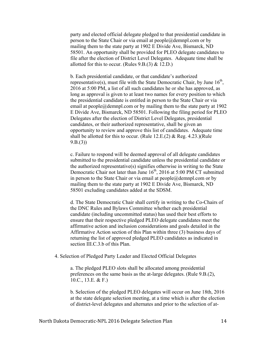party and elected official delegate pledged to that presidential candidate in person to the State Chair or via email at  $people@dempl.com$  or by mailing them to the state party at 1902 E Divide Ave, Bismarck, ND 58501. An opportunity shall be provided for PLEO delegate candidates to file after the election of District Level Delegates. Adequate time shall be allotted for this to occur. (Rules  $9.B.(3) \& 12.D.)$ 

b. Each presidential candidate, or that candidate's authorized representative(s), must file with the State Democratic Chair, by June  $16<sup>th</sup>$ , 2016 at 5:00 PM, a list of all such candidates he or she has approved, as long as approval is given to at least two names for every position to which the presidential candidate is entitled in person to the State Chair or via email at  $people@dempl.com$  or by mailing them to the state party at 1902 E Divide Ave, Bismarck, ND 58501. Following the filing period for PLEO Delegates after the election of District Level Delegates, presidential candidates, or their authorized representative, shall be given an opportunity to review and approve this list of candidates. Adequate time shall be allotted for this to occur. (Rule 12.E.(2)  $&$  Reg. 4.23.)(Rule  $9.B.(3)$ 

c. Failure to respond will be deemed approval of all delegate candidates submitted to the presidential candidate unless the presidential candidate or the authorized representative(s) signifies otherwise in writing to the State Democratic Chair not later than June  $16<sup>th</sup>$ , 2016 at 5:00 PM CT submitted in person to the State Chair or via email at people@demnpl.com or by mailing them to the state party at 1902 E Divide Ave, Bismarck, ND 58501 excluding candidates added at the SDSM.

d. The State Democratic Chair shall certify in writing to the Co-Chairs of the DNC Rules and Bylaws Committee whether each presidential candidate (including uncommitted status) has used their best efforts to ensure that their respective pledged PLEO delegate candidates meet the affirmative action and inclusion considerations and goals detailed in the Affirmative Action section of this Plan within three (3) business days of returning the list of approved pledged PLEO candidates as indicated in section III.C.3.b of this Plan.

#### 4. Selection of Pledged Party Leader and Elected Official Delegates

a. The pledged PLEO slots shall be allocated among presidential preferences on the same basis as the at-large delegates. (Rule 9.B.(2), 10.C., 13.E. & F.)

b. Selection of the pledged PLEO delegates will occur on June 18th, 2016 at the state delegate selection meeting, at a time which is after the election of district-level delegates and alternates and prior to the selection of at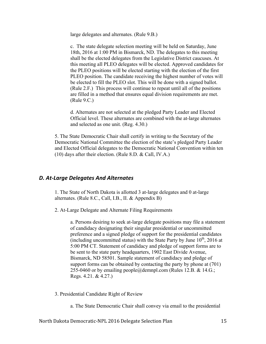large delegates and alternates. (Rule 9.B.)

c. The state delegate selection meeting will be held on Saturday, June 18th, 2016 at 1:00 PM in Bismarck, ND. The delegates to this meeting shall be the elected delegates from the Legislative District caucuses. At this meeting all PLEO delegates will be elected. Approved candidates for the PLEO positions will be elected starting with the election of the first PLEO position. The candidate receiving the highest number of votes will be elected to fill the PLEO slot. This will be done with a signed ballot. (Rule 2.F.) This process will continue to repeat until all of the positions are filled in a method that ensures equal division requirements are met. (Rule 9.C.)

d. Alternates are not selected at the pledged Party Leader and Elected Official level. These alternates are combined with the at-large alternates and selected as one unit. (Reg. 4.30.)

5. The State Democratic Chair shall certify in writing to the Secretary of the Democratic National Committee the election of the state's pledged Party Leader and Elected Official delegates to the Democratic National Convention within ten (10) days after their election. (Rule 8.D. & Call, IV.A.)

#### *D. At-Large Delegates And Alternates*

1. The State of North Dakota is allotted 3 at-large delegates and 0 at-large alternates. (Rule 8.C., Call, I.B., II. & Appendix B)

2. At-Large Delegate and Alternate Filing Requirements

a. Persons desiring to seek at-large delegate positions may file a statement of candidacy designating their singular presidential or uncommitted preference and a signed pledge of support for the presidential candidates (including uncommitted status) with the State Party by June  $10^{th}$ , 2016 at 5:00 PM CT. Statement of candidacy and pledge of support forms are to be sent to the state party headquarters, 1902 East Divide Avenue, Bismarck, ND 58501. Sample statement of candidacy and pledge of support forms can be obtained by contacting the party by phone at (701) 255-0460 or by emailing people@demnpl.com (Rules 12.B. & 14.G.; Regs. 4.21. & 4.27.)

3. Presidential Candidate Right of Review

a. The State Democratic Chair shall convey via email to the presidential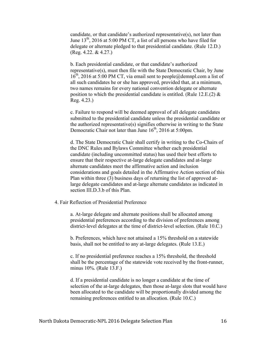candidate, or that candidate's authorized representative(s), not later than June  $13<sup>th</sup>$ , 2016 at 5:00 PM CT, a list of all persons who have filed for delegate or alternate pledged to that presidential candidate. (Rule 12.D.) (Reg. 4.22. & 4.27.)

b. Each presidential candidate, or that candidate's authorized representative(s), must then file with the State Democratic Chair, by June  $16<sup>th</sup>$ , 2016 at 5:00 PM CT, via email sent to people@demnpl.com a list of all such candidates he or she has approved, provided that, at a minimum, two names remains for every national convention delegate or alternate position to which the presidential candidate is entitled. (Rule 12.E.(2)  $\&$ Reg. 4.23.)

c. Failure to respond will be deemed approval of all delegate candidates submitted to the presidential candidate unless the presidential candidate or the authorized representative(s) signifies otherwise in writing to the State Democratic Chair not later than June  $16<sup>th</sup>$ , 2016 at 5:00pm.

d. The State Democratic Chair shall certify in writing to the Co-Chairs of the DNC Rules and Bylaws Committee whether each presidential candidate (including uncommitted status) has used their best efforts to ensure that their respective at-large delegate candidates and at-large alternate candidates meet the affirmative action and inclusion considerations and goals detailed in the Affirmative Action section of this Plan within three (3) business days of returning the list of approved atlarge delegate candidates and at-large alternate candidates as indicated in section III.D.3.b of this Plan.

#### 4. Fair Reflection of Presidential Preference

a. At-large delegate and alternate positions shall be allocated among presidential preferences according to the division of preferences among district-level delegates at the time of district-level selection. (Rule 10.C.)

b. Preferences, which have not attained a 15% threshold on a statewide basis, shall not be entitled to any at-large delegates. (Rule 13.E.)

c. If no presidential preference reaches a 15% threshold, the threshold shall be the percentage of the statewide vote received by the front-runner, minus 10%. (Rule 13.F.)

d. If a presidential candidate is no longer a candidate at the time of selection of the at-large delegates, then those at-large slots that would have been allocated to the candidate will be proportionally divided among the remaining preferences entitled to an allocation. (Rule 10.C.)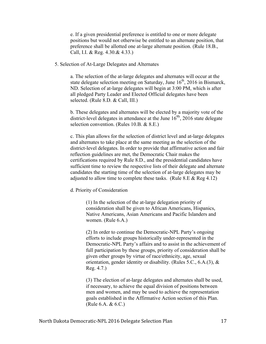e. If a given presidential preference is entitled to one or more delegate positions but would not otherwise be entitled to an alternate position, that preference shall be allotted one at-large alternate position. (Rule 18.B., Call, I.I. & Reg. 4.30.& 4.33.)

5. Selection of At-Large Delegates and Alternates

a. The selection of the at-large delegates and alternates will occur at the state delegate selection meeting on Saturday, June  $16<sup>th</sup>$ , 2016 in Bismarck, ND. Selection of at-large delegates will begin at 3:00 PM, which is after all pledged Party Leader and Elected Official delegates have been selected. (Rule 8.D. & Call, III.)

b. These delegates and alternates will be elected by a majority vote of the district-level delegates in attendance at the June  $16^{8h}$ , 2016 state delegate selection convention. (Rules 10.B. & 8.E.)

c. This plan allows for the selection of district level and at-large delegates and alternates to take place at the same meeting as the selection of the district-level delegates. In order to provide that affirmative action and fair reflection guidelines are met, the Democratic Chair makes the certifications required by Rule 8.D., and the presidential candidates have sufficient time to review the respective lists of their delegate and alternate candidates the starting time of the selection of at-large delegates may be adjusted to allow time to complete these tasks. (Rule  $8.E & Reg\,4.12)$ )

d. Priority of Consideration

(1) In the selection of the at-large delegation priority of consideration shall be given to African Americans, Hispanics, Native Americans, Asian Americans and Pacific Islanders and women. (Rule 6.A.)

(2) In order to continue the Democratic-NPL Party's ongoing efforts to include groups historically under-represented in the Democratic-NPL Party's affairs and to assist in the achievement of full participation by these groups, priority of consideration shall be given other groups by virtue of race/ethnicity, age, sexual orientation, gender identity or disability. (Rules 5.C., 6.A.(3), & Reg. 4.7.)

(3) The election of at-large delegates and alternates shall be used, if necessary, to achieve the equal division of positions between men and women, and may be used to achieve the representation goals established in the Affirmative Action section of this Plan. (Rule 6.A. & 6.C.)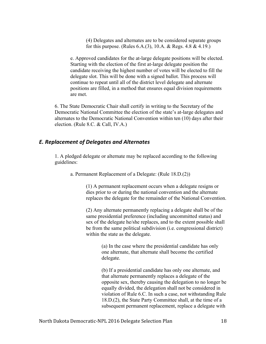(4) Delegates and alternates are to be considered separate groups for this purpose. (Rules 6.A.(3), 10.A. & Regs. 4.8 & 4.19.)

e. Approved candidates for the at-large delegate positions will be elected. Starting with the election of the first at-large delegate position the candidate receiving the highest number of votes will be elected to fill the delegate slot. This will be done with a signed ballot. This process will continue to repeat until all of the district level delegate and alternate positions are filled, in a method that ensures equal division requirements are met.

6. The State Democratic Chair shall certify in writing to the Secretary of the Democratic National Committee the election of the state's at-large delegates and alternates to the Democratic National Convention within ten (10) days after their election. (Rule 8.C. & Call, IV.A.)

#### *E. Replacement of Delegates and Alternates*

1. A pledged delegate or alternate may be replaced according to the following guidelines:

a. Permanent Replacement of a Delegate: (Rule 18.D.(2))

(1) A permanent replacement occurs when a delegate resigns or dies prior to or during the national convention and the alternate replaces the delegate for the remainder of the National Convention.

(2) Any alternate permanently replacing a delegate shall be of the same presidential preference (including uncommitted status) and sex of the delegate he/she replaces, and to the extent possible shall be from the same political subdivision (i.e. congressional district) within the state as the delegate.

> (a) In the case where the presidential candidate has only one alternate, that alternate shall become the certified delegate.

(b) If a presidential candidate has only one alternate, and that alternate permanently replaces a delegate of the opposite sex, thereby causing the delegation to no longer be equally divided, the delegation shall not be considered in violation of Rule 6.C. In such a case, not withstanding Rule 18.D.(2), the State Party Committee shall, at the time of a subsequent permanent replacement, replace a delegate with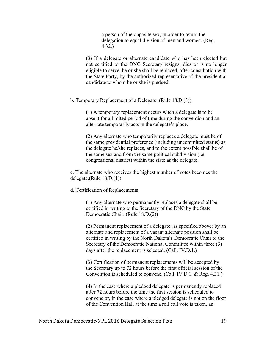a person of the opposite sex, in order to return the delegation to equal division of men and women. (Reg. 4.32.)

(3) If a delegate or alternate candidate who has been elected but not certified to the DNC Secretary resigns, dies or is no longer eligible to serve, he or she shall be replaced, after consultation with the State Party, by the authorized representative of the presidential candidate to whom he or she is pledged.

b. Temporary Replacement of a Delegate: (Rule 18.D.(3))

(1) A temporary replacement occurs when a delegate is to be absent for a limited period of time during the convention and an alternate temporarily acts in the delegate's place.

(2) Any alternate who temporarily replaces a delegate must be of the same presidential preference (including uncommitted status) as the delegate he/she replaces, and to the extent possible shall be of the same sex and from the same political subdivision (i.e. congressional district) within the state as the delegate.

c. The alternate who receives the highest number of votes becomes the delegate.(Rule 18.D.(1))

d. Certification of Replacements

(1) Any alternate who permanently replaces a delegate shall be certified in writing to the Secretary of the DNC by the State Democratic Chair. (Rule 18.D.(2))

(2) Permanent replacement of a delegate (as specified above) by an alternate and replacement of a vacant alternate position shall be certified in writing by the North Dakota's Democratic Chair to the Secretary of the Democratic National Committee within three (3) days after the replacement is selected. (Call, IV.D.1.)

(3) Certification of permanent replacements will be accepted by the Secretary up to 72 hours before the first official session of the Convention is scheduled to convene. (Call, IV.D.1. & Reg. 4.31.)

(4) In the case where a pledged delegate is permanently replaced after 72 hours before the time the first session is scheduled to convene or, in the case where a pledged delegate is not on the floor of the Convention Hall at the time a roll call vote is taken, an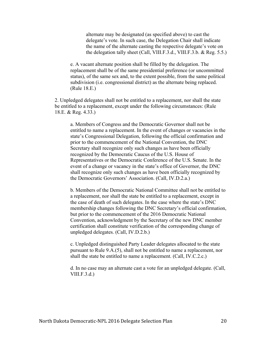alternate may be designated (as specified above) to cast the delegate's vote. In such case, the Delegation Chair shall indicate the name of the alternate casting the respective delegate's vote on the delegation tally sheet (Call, VIII.F.3.d., VIII.F.3.b. & Reg. 5.5.)

e. A vacant alternate position shall be filled by the delegation. The replacement shall be of the same presidential preference (or uncommitted status), of the same sex and, to the extent possible, from the same political subdivision (i.e. congressional district) as the alternate being replaced. (Rule 18.E.)

2. Unpledged delegates shall not be entitled to a replacement, nor shall the state be entitled to a replacement, except under the following circumstances: (Rule 18.E. & Reg. 4.33.)

a. Members of Congress and the Democratic Governor shall not be entitled to name a replacement. In the event of changes or vacancies in the state's Congressional Delegation, following the official confirmation and prior to the commencement of the National Convention, the DNC Secretary shall recognize only such changes as have been officially recognized by the Democratic Caucus of the U.S. House of Representatives or the Democratic Conference of the U.S. Senate. In the event of a change or vacancy in the state's office of Governor, the DNC shall recognize only such changes as have been officially recognized by the Democratic Governors' Association. (Call, IV.D.2.a.)

b. Members of the Democratic National Committee shall not be entitled to a replacement, nor shall the state be entitled to a replacement, except in the case of death of such delegates. In the case where the state's DNC membership changes following the DNC Secretary's official confirmation, but prior to the commencement of the 2016 Democratic National Convention, acknowledgment by the Secretary of the new DNC member certification shall constitute verification of the corresponding change of unpledged delegates. (Call, IV.D.2.b.)

c. Unpledged distinguished Party Leader delegates allocated to the state pursuant to Rule 9.A.(5), shall not be entitled to name a replacement, nor shall the state be entitled to name a replacement. (Call, IV.C.2.c.)

d. In no case may an alternate cast a vote for an unpledged delegate. (Call,  $VIII.F.3.d.)$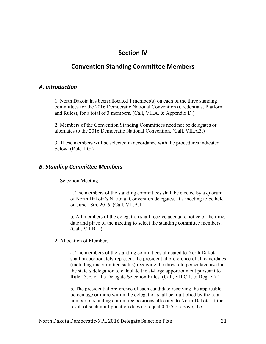## **Section IV**

## **Convention Standing Committee Members**

#### *A. Introduction*

1. North Dakota has been allocated 1 member(s) on each of the three standing committees for the 2016 Democratic National Convention (Credentials, Platform and Rules), for a total of 3 members. (Call, VII.A. & Appendix D.)

2. Members of the Convention Standing Committees need not be delegates or alternates to the 2016 Democratic National Convention. (Call, VII.A.3.)

3. These members will be selected in accordance with the procedures indicated below. (Rule 1.G.)

#### *B. Standing Committee Members*

1. Selection Meeting

a. The members of the standing committees shall be elected by a quorum of North Dakota's National Convention delegates, at a meeting to be held on June 18th, 2016. (Call, VII.B.1.)

b. All members of the delegation shall receive adequate notice of the time, date and place of the meeting to select the standing committee members. (Call, VII.B.1.)

2. Allocation of Members

a. The members of the standing committees allocated to North Dakota shall proportionately represent the presidential preference of all candidates (including uncommitted status) receiving the threshold percentage used in the state's delegation to calculate the at-large apportionment pursuant to Rule 13.E. of the Delegate Selection Rules. (Call, VII.C.1. & Reg. 5.7.)

b. The presidential preference of each candidate receiving the applicable percentage or more within the delegation shall be multiplied by the total number of standing committee positions allocated to North Dakota. If the result of such multiplication does not equal 0.455 or above, the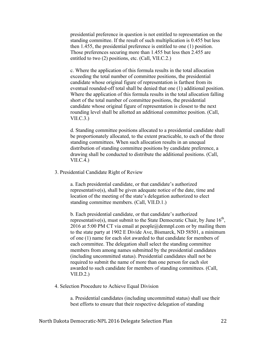presidential preference in question is not entitled to representation on the standing committee. If the result of such multiplication is 0.455 but less then 1.455, the presidential preference is entitled to one (1) position. Those preferences securing more than 1.455 but less then 2.455 are entitled to two (2) positions, etc. (Call, VII.C.2.)

c. Where the application of this formula results in the total allocation exceeding the total number of committee positions, the presidential candidate whose original figure of representation is farthest from its eventual rounded-off total shall be denied that one (1) additional position. Where the application of this formula results in the total allocation falling short of the total number of committee positions, the presidential candidate whose original figure of representation is closest to the next rounding level shall be allotted an additional committee position. (Call,  $VII.C.3.)$ 

d. Standing committee positions allocated to a presidential candidate shall be proportionately allocated, to the extent practicable, to each of the three standing committees. When such allocation results in an unequal distribution of standing committee positions by candidate preference, a drawing shall be conducted to distribute the additional positions. (Call, VII.C.4.)

3. Presidential Candidate Right of Review

a. Each presidential candidate, or that candidate's authorized representative(s), shall be given adequate notice of the date, time and location of the meeting of the state's delegation authorized to elect standing committee members. (Call, VII.D.1.)

b. Each presidential candidate, or that candidate's authorized representative(s), must submit to the State Democratic Chair, by June  $16<sup>th</sup>$ , 2016 at 5:00 PM CT via email at people@demnpl.com or by mailing them to the state party at 1902 E Divide Ave, Bismarck, ND 58501, a minimum of one (1) name for each slot awarded to that candidate for members of each committee. The delegation shall select the standing committee members from among names submitted by the presidential candidates (including uncommitted status). Presidential candidates shall not be required to submit the name of more than one person for each slot awarded to such candidate for members of standing committees. (Call,  $VII.D.2.$ 

4. Selection Procedure to Achieve Equal Division

a. Presidential candidates (including uncommitted status) shall use their best efforts to ensure that their respective delegation of standing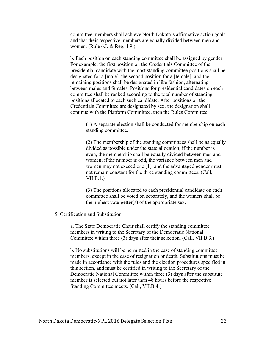committee members shall achieve North Dakota's affirmative action goals and that their respective members are equally divided between men and women. (Rule 6.I. & Reg. 4.9.)

b. Each position on each standing committee shall be assigned by gender. For example, the first position on the Credentials Committee of the presidential candidate with the most standing committee positions shall be designated for a [male], the second position for a [female], and the remaining positions shall be designated in like fashion, alternating between males and females. Positions for presidential candidates on each committee shall be ranked according to the total number of standing positions allocated to each such candidate. After positions on the Credentials Committee are designated by sex, the designation shall continue with the Platform Committee, then the Rules Committee.

> (1) A separate election shall be conducted for membership on each standing committee.

> (2) The membership of the standing committees shall be as equally divided as possible under the state allocation; if the number is even, the membership shall be equally divided between men and women; if the number is odd, the variance between men and women may not exceed one (1), and the advantaged gender must not remain constant for the three standing committees. (Call,  $VII.E.1.$

(3) The positions allocated to each presidential candidate on each committee shall be voted on separately, and the winners shall be the highest vote-getter(s) of the appropriate sex.

#### 5. Certification and Substitution

a. The State Democratic Chair shall certify the standing committee members in writing to the Secretary of the Democratic National Committee within three (3) days after their selection. (Call, VII.B.3.)

b. No substitutions will be permitted in the case of standing committee members, except in the case of resignation or death. Substitutions must be made in accordance with the rules and the election procedures specified in this section, and must be certified in writing to the Secretary of the Democratic National Committee within three (3) days after the substitute member is selected but not later than 48 hours before the respective Standing Committee meets. (Call, VII.B.4.)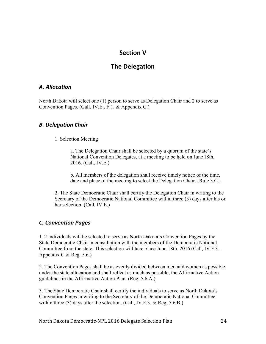## **Section V**

## **The Delegation**

#### *A. Allocation*

North Dakota will select one (1) person to serve as Delegation Chair and 2 to serve as Convention Pages. (Call, IV.E., F.1. & Appendix C.)

#### *B. Delegation Chair*

1. Selection Meeting

a. The Delegation Chair shall be selected by a quorum of the state's National Convention Delegates, at a meeting to be held on June 18th, 2016. (Call, IV.E.)

b. All members of the delegation shall receive timely notice of the time, date and place of the meeting to select the Delegation Chair. (Rule 3.C.)

2. The State Democratic Chair shall certify the Delegation Chair in writing to the Secretary of the Democratic National Committee within three (3) days after his or her selection. (Call, IV.E.)

#### *C. Convention Pages*

1. 2 individuals will be selected to serve as North Dakota's Convention Pages by the State Democratic Chair in consultation with the members of the Democratic National Committee from the state. This selection will take place June 18th, 2016 (Call, IV.F.3., Appendix C  $&$  Reg. 5.6.)

2. The Convention Pages shall be as evenly divided between men and women as possible under the state allocation and shall reflect as much as possible, the Affirmative Action guidelines in the Affirmative Action Plan. (Reg. 5.6.A.)

3. The State Democratic Chair shall certify the individuals to serve as North Dakota's Convention Pages in writing to the Secretary of the Democratic National Committee within three (3) days after the selection. (Call, IV.F.3. & Reg. 5.6.B.)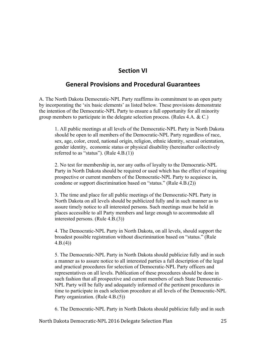## **Section VI**

## **General Provisions and Procedural Guarantees**

A. The North Dakota Democratic-NPL Party reaffirms its commitment to an open party by incorporating the 'six basic elements' as listed below. These provisions demonstrate the intention of the Democratic-NPL Party to ensure a full opportunity for all minority group members to participate in the delegate selection process. (Rules 4.A. & C.)

1. All public meetings at all levels of the Democratic-NPL Party in North Dakota should be open to all members of the Democratic-NPL Party regardless of race, sex, age, color, creed, national origin, religion, ethnic identity, sexual orientation, gender identity, economic status or physical disability (hereinafter collectively referred to as "status"). (Rule  $4.B.(1)$ )

2. No test for membership in, nor any oaths of loyalty to the Democratic-NPL Party in North Dakota should be required or used which has the effect of requiring prospective or current members of the Democratic-NPL Party to acquiesce in, condone or support discrimination based on "status." (Rule 4.B.(2))

3. The time and place for all public meetings of the Democratic-NPL Party in North Dakota on all levels should be publicized fully and in such manner as to assure timely notice to all interested persons. Such meetings must be held in places accessible to all Party members and large enough to accommodate all interested persons. (Rule 4.B.(3))

4. The Democratic-NPL Party in North Dakota, on all levels, should support the broadest possible registration without discrimination based on "status." (Rule  $4.B.(4)$ 

5. The Democratic-NPL Party in North Dakota should publicize fully and in such a manner as to assure notice to all interested parties a full description of the legal and practical procedures for selection of Democratic-NPL Party officers and representatives on all levels. Publication of these procedures should be done in such fashion that all prospective and current members of each State Democratic-NPL Party will be fully and adequately informed of the pertinent procedures in time to participate in each selection procedure at all levels of the Democratic-NPL Party organization. (Rule 4.B.(5))

6. The Democratic-NPL Party in North Dakota should publicize fully and in such

North Dakota Democratic-NPL 2016 Delegate Selection Plan 25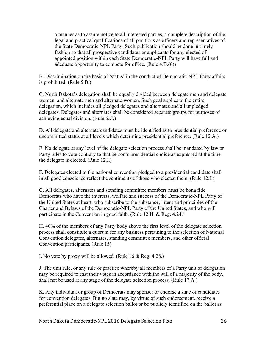a manner as to assure notice to all interested parties, a complete description of the legal and practical qualifications of all positions as officers and representatives of the State Democratic-NPL Party. Such publication should be done in timely fashion so that all prospective candidates or applicants for any elected of appointed position within each State Democratic-NPL Party will have full and adequate opportunity to compete for office. (Rule 4.B.(6))

B. Discrimination on the basis of 'status' in the conduct of Democratic-NPL Party affairs is prohibited. (Rule 5.B.)

C. North Dakota's delegation shall be equally divided between delegate men and delegate women, and alternate men and alternate women. Such goal applies to the entire delegation, which includes all pledged delegates and alternates and all unpledged delegates. Delegates and alternates shall be considered separate groups for purposes of achieving equal division. (Rule 6.C.)

D. All delegate and alternate candidates must be identified as to presidential preference or uncommitted status at all levels which determine presidential preference. (Rule 12.A.)

E. No delegate at any level of the delegate selection process shall be mandated by law or Party rules to vote contrary to that person's presidential choice as expressed at the time the delegate is elected. (Rule 12.I.)

F. Delegates elected to the national convention pledged to a presidential candidate shall in all good conscience reflect the sentiments of those who elected them. (Rule 12.J.)

G. All delegates, alternates and standing committee members must be bona fide Democrats who have the interests, welfare and success of the Democratic-NPL Party of the United States at heart, who subscribe to the substance, intent and principles of the Charter and Bylaws of the Democratic-NPL Party of the United States, and who will participate in the Convention in good faith. (Rule 12.H. & Reg. 4.24.)

H. 40% of the members of any Party body above the first level of the delegate selection process shall constitute a quorum for any business pertaining to the selection of National Convention delegates, alternates, standing committee members, and other official Convention participants. (Rule 15)

I. No vote by proxy will be allowed. (Rule 16 & Reg. 4.28.)

J. The unit rule, or any rule or practice whereby all members of a Party unit or delegation may be required to cast their votes in accordance with the will of a majority of the body, shall not be used at any stage of the delegate selection process. (Rule 17.A.)

K. Any individual or group of Democrats may sponsor or endorse a slate of candidates for convention delegates. But no slate may, by virtue of such endorsement, receive a preferential place on a delegate selection ballot or be publicly identified on the ballot as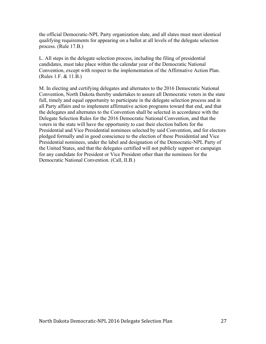the official Democratic-NPL Party organization slate, and all slates must meet identical qualifying requirements for appearing on a ballot at all levels of the delegate selection process. (Rule 17.B.)

L. All steps in the delegate selection process, including the filing of presidential candidates, must take place within the calendar year of the Democratic National Convention, except with respect to the implementation of the Affirmative Action Plan. (Rules 1.F. & 11.B.)

M. In electing and certifying delegates and alternates to the 2016 Democratic National Convention, North Dakota thereby undertakes to assure all Democratic voters in the state full, timely and equal opportunity to participate in the delegate selection process and in all Party affairs and to implement affirmative action programs toward that end, and that the delegates and alternates to the Convention shall be selected in accordance with the Delegate Selection Rules for the 2016 Democratic National Convention, and that the voters in the state will have the opportunity to cast their election ballots for the Presidential and Vice Presidential nominees selected by said Convention, and for electors pledged formally and in good conscience to the election of these Presidential and Vice Presidential nominees, under the label and designation of the Democratic-NPL Party of the United States, and that the delegates certified will not publicly support or campaign for any candidate for President or Vice President other than the nominees for the Democratic National Convention. (Call, II.B.)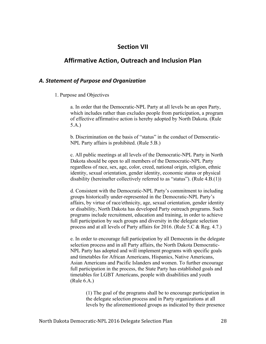## **Section VII**

## **Affirmative Action, Outreach and Inclusion Plan**

#### *A. Statement of Purpose and Organization*

1. Purpose and Objectives

a. In order that the Democratic-NPL Party at all levels be an open Party, which includes rather than excludes people from participation, a program of effective affirmative action is hereby adopted by North Dakota. (Rule 5.A.)

b. Discrimination on the basis of "status" in the conduct of Democratic-NPL Party affairs is prohibited. (Rule 5.B.)

c. All public meetings at all levels of the Democratic-NPL Party in North Dakota should be open to all members of the Democratic-NPL Party regardless of race, sex, age, color, creed, national origin, religion, ethnic identity, sexual orientation, gender identity, economic status or physical disability (hereinafter collectively referred to as "status"). (Rule 4.B.(1))

d. Consistent with the Democratic-NPL Party's commitment to including groups historically under-represented in the Democratic-NPL Party's affairs, by virtue of race/ethnicity, age, sexual orientation, gender identity or disability, North Dakota has developed Party outreach programs. Such programs include recruitment, education and training, in order to achieve full participation by such groups and diversity in the delegate selection process and at all levels of Party affairs for 2016. (Rule 5.C & Reg. 4.7.)

e. In order to encourage full participation by all Democrats in the delegate selection process and in all Party affairs, the North Dakota Democratic-NPL Party has adopted and will implement programs with specific goals and timetables for African Americans, Hispanics, Native Americans, Asian Americans and Pacific Islanders and women. To further encourage full participation in the process, the State Party has established goals and timetables for LGBT Americans, people with disabilities and youth (Rule 6.A.)

(1) The goal of the programs shall be to encourage participation in the delegate selection process and in Party organizations at all levels by the aforementioned groups as indicated by their presence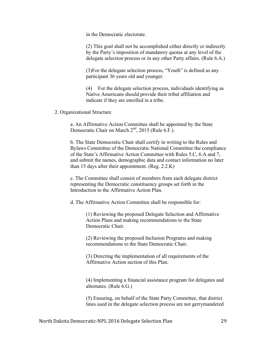in the Democratic electorate.

(2) This goal shall not be accomplished either directly or indirectly by the Party's imposition of mandatory quotas at any level of the delegate selection process or in any other Party affairs. (Rule 6.A.)

(3)For the delegate selection process, "Youth" is defined as any participant 36 years old and younger.

(4) For the delegate selection process, individuals identifying as Native Americans should provide their tribal affiliation and indicate if they are enrolled in a tribe.

2. Organizational Structure

a. An Affirmative Action Committee shall be appointed by the State Democratic Chair on March  $2<sup>nd</sup>$ , 2015 (Rule 6.F.).

b. The State Democratic Chair shall certify in writing to the Rules and Bylaws Committee of the Democratic National Committee the compliance of the State's Affirmative Action Committee with Rules 5.C, 6.A and 7, and submit the names, demographic data and contact information no later than 15 days after their appointment. (Reg. 2.2.K)

c. The Committee shall consist of members from each delegate district representing the Democratic constituency groups set forth in the Introduction to the Affirmative Action Plan.

d. The Affirmative Action Committee shall be responsible for:

(1) Reviewing the proposed Delegate Selection and Affirmative Action Plans and making recommendations to the State Democratic Chair.

(2) Reviewing the proposed Inclusion Programs and making recommendations to the State Democratic Chair.

(3) Directing the implementation of all requirements of the Affirmative Action section of this Plan.

(4) Implementing a financial assistance program for delegates and alternates. (Rule 6.G.)

(5) Ensuring, on behalf of the State Party Committee, that district lines used in the delegate selection process are not gerrymandered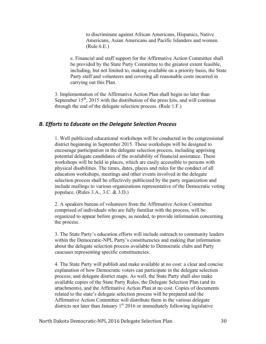to discriminate against African Americans, Hispanics, Native Americans, Asian Americans and Pacific Islanders and women. (Rule 6.E.)

e. Financial and staff support for the Affirmative Action Committee shall be provided by the State Party Committee to the greatest extent feasible, including, but not limited to, making available on a priority basis, the State Party staff and volunteers and covering all reasonable costs incurred in carrying out this Plan.

3. Implementation of the Affirmative Action Plan shall begin no later than September  $15<sup>th</sup>$ , 2015 with the distribution of the press kits, and will continue through the end of the delegate selection process. (Rule 1.F.)

#### *B. Efforts to Educate on the Delegate Selection Process*

1. Well publicized educational workshops will be conducted in the congressional district beginning in September 2015. These workshops will be designed to encourage participation in the delegate selection process, including apprising potential delegate candidates of the availability of financial assistance. These workshops will be held in places, which are easily accessible to persons with physical disabilities. The times, dates, places and rules for the conduct of all education workshops, meetings and other events involved in the delegate selection process shall be effectively publicized by the party organization and include mailings to various organizations representative of the Democratic voting populace. (Rules 3.A., 3.C. & 3.D.)

2. A speakers bureau of volunteers from the Affirmative Action Committee comprised of individuals who are fully familiar with the process, will be organized to appear before groups, as needed, to provide information concerning the process.

3. The State Party's education efforts will include outreach to community leaders within the Democratic-NPL Party's constituencies and making that information about the delegate selection process available to Democratic clubs and Party caucuses representing specific constituencies.

4. The State Party will publish and make available at no cost: a clear and concise explanation of how Democratic voters can participate in the delegate selection process; and delegate district maps. As well, the State Party shall also make available copies of the State Party Rules, the Delegate Selection Plan (and its attachments), and the Affirmative Action Plan at no cost. Copies of documents related to the state's delegate selection process will be prepared and the Affirmative Action Committee will distribute them in the various delegate districts not later than January  $1<sup>st</sup>$  2016 or immediately following legislative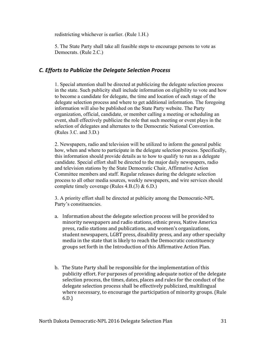redistricting whichever is earlier. (Rule 1.H.)

5. The State Party shall take all feasible steps to encourage persons to vote as Democrats. (Rule 2.C.)

## *C. Efforts to Publicize the Delegate Selection Process*

1. Special attention shall be directed at publicizing the delegate selection process in the state. Such publicity shall include information on eligibility to vote and how to become a candidate for delegate, the time and location of each stage of the delegate selection process and where to get additional information. The foregoing information will also be published on the State Party website. The Party organization, official, candidate, or member calling a meeting or scheduling an event, shall effectively publicize the role that such meeting or event plays in the selection of delegates and alternates to the Democratic National Convention. (Rules 3.C. and 3.D.)

2. Newspapers, radio and television will be utilized to inform the general public how, when and where to participate in the delegate selection process. Specifically, this information should provide details as to how to qualify to run as a delegate candidate. Special effort shall be directed to the major daily newspapers, radio and television stations by the State Democratic Chair, Affirmative Action Committee members and staff. Regular releases during the delegate selection process to all other media sources, weekly newspapers, and wire services should complete timely coverage (Rules  $4.B.(3) \& 6.D.$ )

3. A priority effort shall be directed at publicity among the Democratic-NPL Party's constituencies.

- a. Information about the delegate selection process will be provided to minority newspapers and radio stations, ethnic press, Native America press, radio stations and publications, and women's organizations, student newspapers, LGBT press, disability press, and any other specialty media in the state that is likely to reach the Democratic constituency groups set forth in the Introduction of this Affirmative Action Plan.
- b. The State Party shall be responsible for the implementation of this publicity effort. For purposes of providing adequate notice of the delegate selection process, the times, dates, places and rules for the conduct of the delegate selection process shall be effectively publicized, multilingual where necessary, to encourage the participation of minority groups. (Rule 6.D.)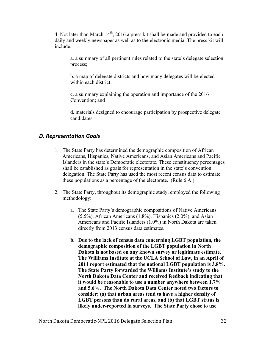4. Not later than March  $14^{th}$ , 2016 a press kit shall be made and provided to each daily and weekly newspaper as well as to the electronic media. The press kit will include:

a. a summary of all pertinent rules related to the state's delegate selection process;

b. a map of delegate districts and how many delegates will be elected within each district;

c. a summary explaining the operation and importance of the 2016 Convention; and

d. materials designed to encourage participation by prospective delegate candidates.

## *D. Representation Goals*

- 1. The State Party has determined the demographic composition of African Americans, Hispanics, Native Americans, and Asian Americans and Pacific Islanders in the state's Democratic electorate. These constituency percentages shall be established as goals for representation in the state's convention delegation. The State Party has used the most recent census data to estimate these populations as a percentage of the electorate. (Rule 6.A.)
- 2. The State Party, throughout its demographic study, employed the following methodology:
	- a. The State Party's demographic compositions of Native Americans  $(5.5\%)$ , African Americans  $(1.8\%)$ , Hispanics  $(2.0\%)$ , and Asian Americans and Pacific Islanders (1.0%) in North Dakota are taken directly from 2013 census data estimates.
	- **b. Due to the lack of census data concerning LGBT population, the demographic composition of the LGBT population in North Dakota is not based on any known survey or legitimate estimate. The Williams Institute at the UCLA School of Law, in an April of 2011 report estimated that the national LGBT population is 3.8%. The State Party forwarded the Williams Institute's study to the North Dakota Data Center and received feedback indicating that it would be reasonable to use a number anywhere between 1.7% and 5.6%. The North Dakota Data Center noted two factors to consider: (a) that urban areas tend to have a higher density of LGBT persons than do rural areas, and (b) that LGBT status is likely under-reported in surveys. The State Party chose to use**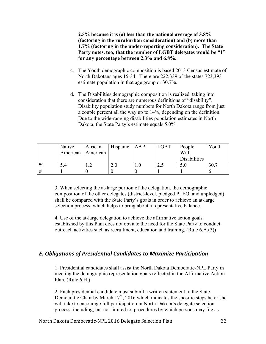**2.5% because it is (a) less than the national average of 3.8% (factoring in the rural/urban consideration) and (b) more than 1.7% (factoring in the under-reporting consideration). The State Party notes, too, that the number of LGBT delegates would be "1" for any percentage between 2.3% and 6.8%.**

- c. The Youth demographic composition is based 2013 Census estimate of North Dakotans ages 15-34. There are 222,339 of the states 723,393 estimate population in that age group or 30.7%.
- d. The Disabilities demographic composition is realized, taking into consideration that there are numerous definitions of "disability". Disability population study numbers for North Dakota range from just a couple percent all the way up to 14%, depending on the definition. Due to the wide-ranging disabilities population estimates in North Dakota, the State Party's estimate equals 5.0%.

|               | Native | African             | Hispanic   AAPI | <b>LGBT</b> | People       | Youth |
|---------------|--------|---------------------|-----------------|-------------|--------------|-------|
|               |        | American   American |                 |             | With         |       |
|               |        |                     |                 |             | Disabilities |       |
| $\frac{0}{0}$ | 5.4    |                     |                 | ر . پ       | 5.0          | 30.7  |
| #             |        |                     |                 |             |              |       |

3. When selecting the at-large portion of the delegation, the demographic composition of the other delegates (district-level, pledged PLEO, and unpledged) shall be compared with the State Party's goals in order to achieve an at-large selection process, which helps to bring about a representative balance.

4. Use of the at-large delegation to achieve the affirmative action goals established by this Plan does not obviate the need for the State Party to conduct outreach activities such as recruitment, education and training. (Rule 6.A.(3))

#### *E. Obligations of Presidential Candidates to Maximize Participation*

1. Presidential candidates shall assist the North Dakota Democratic-NPL Party in meeting the demographic representation goals reflected in the Affirmative Action Plan. (Rule 6.H.)

2. Each presidential candidate must submit a written statement to the State Democratic Chair by March  $17<sup>th</sup>$ , 2016 which indicates the specific steps he or she will take to encourage full participation in North Dakota's delegate selection process, including, but not limited to, procedures by which persons may file as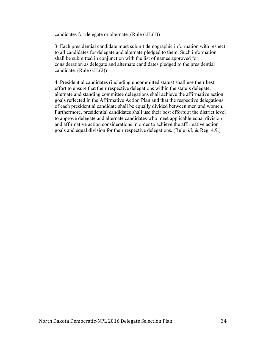candidates for delegate or alternate. (Rule 6.H.(1))

3. Each presidential candidate must submit demographic information with respect to all candidates for delegate and alternate pledged to them. Such information shall be submitted in conjunction with the list of names approved for consideration as delegate and alternate candidates pledged to the presidential candidate. (Rule 6.H.(2))

4. Presidential candidates (including uncommitted status) shall use their best effort to ensure that their respective delegations within the state's delegate, alternate and standing committee delegations shall achieve the affirmative action goals reflected in the Affirmative Action Plan and that the respective delegations of each presidential candidate shall be equally divided between men and women. Furthermore, presidential candidates shall use their best efforts at the district level to approve delegate and alternate candidates who meet applicable equal division and affirmative action considerations in order to achieve the affirmative action goals and equal division for their respective delegations. (Rule 6.I. & Reg. 4.9.)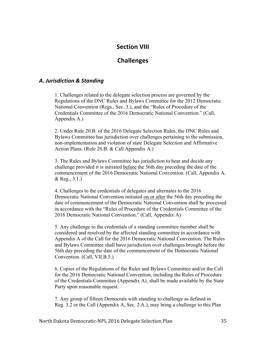## **Section VIII**

## **Challenges**

#### *A. Jurisdiction & Standing*

1. Challenges related to the delegate selection process are governed by the Regulations of the DNC Rules and Bylaws Committee for the 2012 Democratic National Convention (Regs., Sec. 3.), and the "Rules of Procedure of the Credentials Committee of the 2016 Democratic National Convention." (Call, Appendix A.)

2. Under Rule 20.B. of the 2016 Delegate Selection Rules, the DNC Rules and Bylaws Committee has jurisdiction over challenges pertaining to the submission, non-implementation and violation of state Delegate Selection and Affirmative Action Plans. (Rule 20.B. & Call Appendix A.)

3. The Rules and Bylaws Committee has jurisdiction to hear and decide any challenge provided it is initiated before the 56th day preceding the date of the commencement of the 2016 Democratic National Convention. (Call, Appendix A. & Reg., 3.1.)

4. Challenges to the credentials of delegates and alternates to the 2016 Democratic National Convention initiated on or after the 56th day preceding the date of commencement of the Democratic National Convention shall be processed in accordance with the "Rules of Procedure of the Credentials Committee of the 2016 Democratic National Convention." (Call, Appendix A)

5. Any challenge to the credentials of a standing committee member shall be considered and resolved by the affected standing committee in accordance with Appendix A of the Call for the 2016 Democratic National Convention. The Rules and Bylaws Committee shall have jurisdiction over challenges brought before the 56th day preceding the date of the commencement of the Democratic National Convention. (Call, VII.B.5.)

6. Copies of the Regulations of the Rules and Bylaws Committee and/or the Call for the 2016 Democratic National Convention, including the Rules of Procedure of the Credentials Committee (Appendix A), shall be made available by the State Party upon reasonable request.

7. Any group of fifteen Democrats with standing to challenge as defined in Reg. 3.2 or the Call (Appendix A, Sec. 2.A.), may bring a challenge to this Plan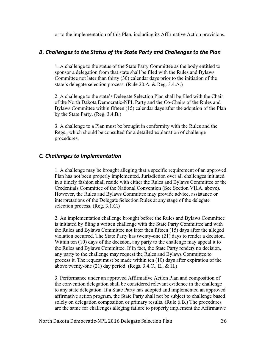or to the implementation of this Plan, including its Affirmative Action provisions.

#### *B. Challenges to the Status of the State Party and Challenges to the Plan*

1. A challenge to the status of the State Party Committee as the body entitled to sponsor a delegation from that state shall be filed with the Rules and Bylaws Committee not later than thirty (30) calendar days prior to the initiation of the state's delegate selection process. (Rule 20.A. & Reg. 3.4.A.)

2. A challenge to the state's Delegate Selection Plan shall be filed with the Chair of the North Dakota Democratic-NPL Party and the Co-Chairs of the Rules and Bylaws Committee within fifteen (15) calendar days after the adoption of the Plan by the State Party. (Reg. 3.4.B.)

3. A challenge to a Plan must be brought in conformity with the Rules and the Regs., which should be consulted for a detailed explanation of challenge procedures.

#### *C. Challenges to Implementation*

1. A challenge may be brought alleging that a specific requirement of an approved Plan has not been properly implemented. Jurisdiction over all challenges initiated in a timely fashion shall reside with either the Rules and Bylaws Committee or the Credentials Committee of the National Convention (See Section VII.A. above). However, the Rules and Bylaws Committee may provide advice, assistance or interpretations of the Delegate Selection Rules at any stage of the delegate selection process. (Reg. 3.1.C.)

2. An implementation challenge brought before the Rules and Bylaws Committee is initiated by filing a written challenge with the State Party Committee and with the Rules and Bylaws Committee not later then fifteen (15) days after the alleged violation occurred. The State Party has twenty-one (21) days to render a decision. Within ten (10) days of the decision, any party to the challenge may appeal it to the Rules and Bylaws Committee. If in fact, the State Party renders no decision, any party to the challenge may request the Rules and Bylaws Committee to process it. The request must be made within ten (10) days after expiration of the above twenty-one  $(21)$  day period. (Regs. 3.4.C., E., & H.)

3. Performance under an approved Affirmative Action Plan and composition of the convention delegation shall be considered relevant evidence in the challenge to any state delegation. If a State Party has adopted and implemented an approved affirmative action program, the State Party shall not be subject to challenge based solely on delegation composition or primary results. (Rule 6.B.) The procedures are the same for challenges alleging failure to properly implement the Affirmative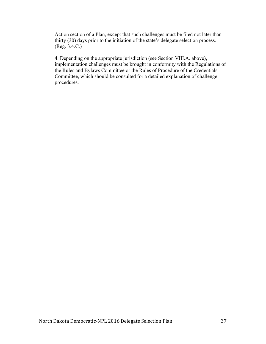Action section of a Plan, except that such challenges must be filed not later than thirty (30) days prior to the initiation of the state's delegate selection process. (Reg. 3.4.C.)

4. Depending on the appropriate jurisdiction (see Section VIII.A. above), implementation challenges must be brought in conformity with the Regulations of the Rules and Bylaws Committee or the Rules of Procedure of the Credentials Committee, which should be consulted for a detailed explanation of challenge procedures.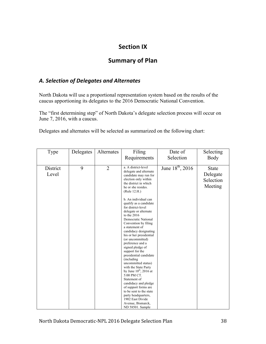# **Section IX**

## **Summary of Plan**

## *A. Selection of Delegates and Alternates*

North Dakota will use a proportional representation system based on the results of the caucus apportioning its delegates to the 2016 Democratic National Convention.

The "first determining step" of North Dakota's delegate selection process will occur on June 7, 2016, with a caucus.

Delegates and alternates will be selected as summarized on the following chart:

| Type              | Delegates | Alternates     | Filing<br>Requirements                                                                                                                                                                                                                                                                                                                                                                                                                                                                                                                                                                                                                                                                                                                                                                                   | Date of<br>Selection         | Selecting<br>Body                                |
|-------------------|-----------|----------------|----------------------------------------------------------------------------------------------------------------------------------------------------------------------------------------------------------------------------------------------------------------------------------------------------------------------------------------------------------------------------------------------------------------------------------------------------------------------------------------------------------------------------------------------------------------------------------------------------------------------------------------------------------------------------------------------------------------------------------------------------------------------------------------------------------|------------------------------|--------------------------------------------------|
| District<br>Level | 9         | $\overline{2}$ | a. A district-level<br>delegate and alternate<br>candidate may run for<br>election only within<br>the district in which<br>he or she resides.<br>(Rule 12.H.)<br>b. An individual can<br>qualify as a candidate<br>for district-level<br>delegate or alternate<br>to the $2016$<br>Democratic National<br>Convention by filing<br>a statement of<br>candidacy designating<br>his or her presidential<br>(or uncommitted)<br>preference and a<br>signed pledge of<br>support for the<br>presidential candidate<br>(including)<br>uncommitted status)<br>with the State Party<br>by June $10^{th}$ , 2016 at<br>5:00 PM CT.<br>Statement of<br>candidacy and pledge<br>of support forms are<br>to be sent to the state<br>party headquarters,<br>1902 East Divide<br>Avenue, Bismarck,<br>ND 58501. Sample | June 18 <sup>th</sup> , 2016 | <b>State</b><br>Delegate<br>Selection<br>Meeting |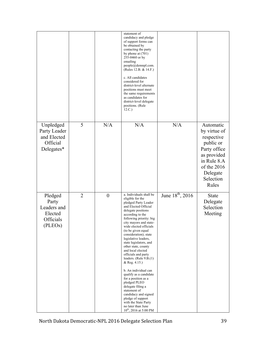|                                                                    |                |                  | statement of<br>candidacy and pledge<br>of support forms can<br>be obtained by<br>contacting the party<br>by phone at $(701)$<br>255-0460 or by<br>emailing<br>people@demnpl.com.<br>(Rules 12.B. & 14.F.)<br>c. All candidates<br>considered for<br>district-level alternate<br>positions must meet<br>the same requirements<br>as candidates for<br>district-level delegate<br>positions. (Rule<br>12.C.)                                                                                                                                                                                                                                                                                 |                       |                                                                                                                                                     |
|--------------------------------------------------------------------|----------------|------------------|---------------------------------------------------------------------------------------------------------------------------------------------------------------------------------------------------------------------------------------------------------------------------------------------------------------------------------------------------------------------------------------------------------------------------------------------------------------------------------------------------------------------------------------------------------------------------------------------------------------------------------------------------------------------------------------------|-----------------------|-----------------------------------------------------------------------------------------------------------------------------------------------------|
| Unpledged<br>Party Leader<br>and Elected<br>Official<br>Delegates* | 5              | N/A              | N/A                                                                                                                                                                                                                                                                                                                                                                                                                                                                                                                                                                                                                                                                                         | N/A                   | Automatic<br>by virtue of<br>respective<br>public or<br>Party office<br>as provided<br>in Rule 8.A<br>of the 2016<br>Delegate<br>Selection<br>Rules |
| Pledged<br>Party<br>Leaders and<br>Elected<br>Officials<br>(PLEOs) | $\overline{2}$ | $\boldsymbol{0}$ | a. Individuals shall be<br>eligible for the<br>pledged Party Leader<br>and Elected Official<br>delegate positions<br>according to the<br>following priority: big<br>city mayors and state-<br>wide elected officials<br>(to be given equal<br>consideration); state<br>legislative leaders,<br>state legislators, and<br>other state, county<br>and local elected<br>officials and party<br>leaders. (Rule 9.B.(1)<br>& Reg. 4.15.)<br>b. An individual can<br>qualify as a candidate<br>for a position as a<br>pledged PLEO<br>delegate filing a<br>statement of<br>candidacy and signed<br>pledge of support<br>with the State Party<br>no later than June<br>$10^{th}$ , 2016 at 5:00 PM | June $18^{th}$ , 2016 | <b>State</b><br>Delegate<br>Selection<br>Meeting                                                                                                    |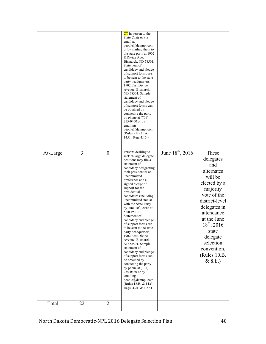| At-Large | 3  | $\boldsymbol{0}$ | $CT$ in person to the<br>State Chair or via<br>email at<br>people@demnpl.com<br>or by mailing them to<br>the state party at 1902<br>E Divide Ave,<br>Bismarck, ND 58501.<br>Statement of<br>candidacy and pledge<br>of support forms are<br>to be sent to the state<br>party headquarters,<br>1902 East Divide<br>Avenue, Bismarck,<br>ND 58501. Sample<br>statement of<br>candidacy and pledge<br>of support forms can<br>be obtained by<br>contacting the party<br>by phone at $(701)$<br>255-0460 or by<br>emailing<br>people@demnpl.com<br>(Rules 9.B. $(3)$ , &<br>14.G., Reg. 4.16.)<br>Persons desiring to                                                                                                                                    | June 18 <sup>th</sup> , 2016 | These                                                                                                                                                                                                                                              |
|----------|----|------------------|------------------------------------------------------------------------------------------------------------------------------------------------------------------------------------------------------------------------------------------------------------------------------------------------------------------------------------------------------------------------------------------------------------------------------------------------------------------------------------------------------------------------------------------------------------------------------------------------------------------------------------------------------------------------------------------------------------------------------------------------------|------------------------------|----------------------------------------------------------------------------------------------------------------------------------------------------------------------------------------------------------------------------------------------------|
|          |    |                  | seek at-large delegate<br>positions may file a<br>statement of<br>candidacy designating<br>their presidential or<br>uncommitted<br>preference and a<br>signed pledge of<br>support for the<br>presidential<br>candidates (including<br>uncommitted status)<br>with the State Party<br>by June $10^{th}$ , 2016 at<br>5:00 PM CT.<br>Statement of<br>candidacy and pledge<br>of support forms are<br>to be sent to the state<br>party headquarters,<br>1902 East Divide<br>Avenue, Bismarck,<br>ND 58501. Sample<br>statement of<br>candidacy and pledge<br>of support forms can<br>be obtained by<br>contacting the party<br>by phone at $(701)$<br>255-0460 or by<br>emailing<br>people@demnpl.com<br>(Rules 12.B. & 14.G.;<br>Regs. 4.21. & 4.27.) |                              | delegates<br>and<br>alternates<br>will be<br>elected by a<br>majority<br>vote of the<br>district-level<br>delegates in<br>attendance<br>at the June<br>$18^{th}$ , 2016<br>state<br>delegate<br>selection<br>convention.<br>(Rules 10.B.<br>& 8.E. |
| Total    | 22 | $\overline{2}$   |                                                                                                                                                                                                                                                                                                                                                                                                                                                                                                                                                                                                                                                                                                                                                      |                              |                                                                                                                                                                                                                                                    |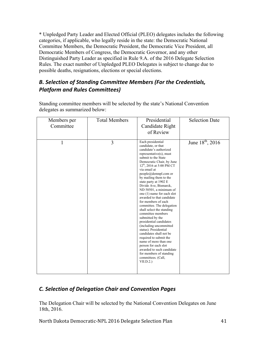\* Unpledged Party Leader and Elected Official (PLEO) delegates includes the following categories, if applicable, who legally reside in the state: the Democratic National Committee Members, the Democratic President, the Democratic Vice President, all Democratic Members of Congress, the Democratic Governor, and any other Distinguished Party Leader as specified in Rule 9.A. of the 2016 Delegate Selection Rules. The exact number of Unpledged PLEO Delegates is subject to change due to possible deaths, resignations, elections or special elections.

## **B. Selection of Standing Committee Members (For the Credentials,** *Platform and Rules Committees)*

| Members per<br>Committee | <b>Total Members</b> | Presidential<br>Candidate Right<br>of Review                                                                                                                                                                                                                                                                                                                                                                                                                                                                                                                                                                                                                                                                                                                                                                    | <b>Selection Date</b>        |
|--------------------------|----------------------|-----------------------------------------------------------------------------------------------------------------------------------------------------------------------------------------------------------------------------------------------------------------------------------------------------------------------------------------------------------------------------------------------------------------------------------------------------------------------------------------------------------------------------------------------------------------------------------------------------------------------------------------------------------------------------------------------------------------------------------------------------------------------------------------------------------------|------------------------------|
| 1                        | 3                    | Each presidential<br>candidate, or that<br>candidate's authorized<br>$representative(s)$ , must<br>submit to the State<br>Democratic Chair, by June<br>12 <sup>th</sup> , 2016 at 5:00 PM CT<br>via email at<br>people@demnpl.com or<br>by mailing them to the<br>state party at 1902 E<br>Divide Ave, Bismarck,<br>ND 58501, a minimum of<br>one (1) name for each slot<br>awarded to that candidate<br>for members of each<br>committee. The delegation<br>shall select the standing<br>committee members<br>submitted by the<br>presidential candidates<br>(including uncommitted)<br>status). Presidential<br>candidates shall not be<br>required to submit the<br>name of more than one<br>person for each slot<br>awarded to such candidate<br>for members of standing<br>committees. (Call,<br>VII.D.2.) | June 18 <sup>th</sup> , 2016 |

Standing committee members will be selected by the state's National Convention delegates as summarized below:

## *C. Selection of Delegation Chair and Convention Pages*

The Delegation Chair will be selected by the National Convention Delegates on June 18th, 2016.

North Dakota Democratic-NPL 2016 Delegate Selection Plan 41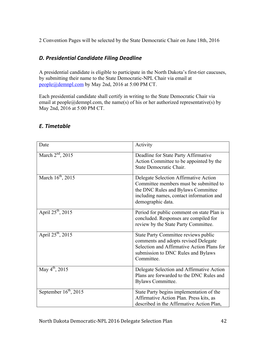2 Convention Pages will be selected by the State Democratic Chair on June 18th, 2016

## *D. Presidential Candidate Filing Deadline*

A presidential candidate is eligible to participate in the North Dakota's first-tier caucuses, by submitting their name to the State Democratic-NPL Chair via email at people@demnpl.com by May 2nd, 2016 at 5:00 PM CT.

Each presidential candidate shall certify in writing to the State Democratic Chair via email at people@demnpl.com, the name(s) of his or her authorized representative(s) by May 2nd, 2016 at 5:00 PM CT.

| Date                              | Activity                                                                                                                                                                               |
|-----------------------------------|----------------------------------------------------------------------------------------------------------------------------------------------------------------------------------------|
| March $2nd$ , 2015                | Deadline for State Party Affirmative<br>Action Committee to be appointed by the<br>State Democratic Chair.                                                                             |
| March $16^{th}$ , 2015            | Delegate Selection Affirmative Action<br>Committee members must be submitted to<br>the DNC Rules and Bylaws Committee<br>including names, contact information and<br>demographic data. |
| April $25^{th}$ , 2015            | Period for public comment on state Plan is<br>concluded. Responses are compiled for<br>review by the State Party Committee.                                                            |
| April $25^{th}$ , 2015            | State Party Committee reviews public<br>comments and adopts revised Delegate<br>Selection and Affirmative Action Plans for<br>submission to DNC Rules and Bylaws<br>Committee.         |
| May $4^{th}$ , 2015               | Delegate Selection and Affirmative Action<br>Plans are forwarded to the DNC Rules and<br>Bylaws Committee.                                                                             |
| September $16^{\text{th}}$ , 2015 | State Party begins implementation of the<br>Affirmative Action Plan. Press kits, as<br>described in the Affirmative Action Plan,                                                       |

## *E. Timetable*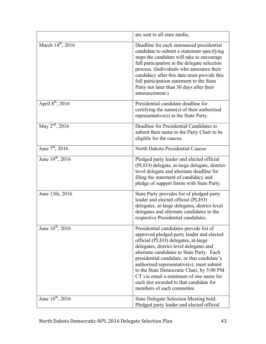|                               | are sent to all state media.                                                                                                                                                                                                                                                                                                                                                                                                                                                    |
|-------------------------------|---------------------------------------------------------------------------------------------------------------------------------------------------------------------------------------------------------------------------------------------------------------------------------------------------------------------------------------------------------------------------------------------------------------------------------------------------------------------------------|
| March 14 <sup>th</sup> , 2016 | Deadline for each announced presidential<br>candidate to submit a statement specifying<br>steps the candidate will take to encourage<br>full participation in the delegate selection<br>process. (Individuals who announce their<br>candidacy after this date must provide this<br>full participation statement to the State<br>Party not later than 30 days after their<br>announcement.)                                                                                      |
| April $8^{th}$ , 2016         | Presidential candidate deadline for<br>certifying the name(s) of their authorized<br>representative(s) to the State Party.                                                                                                                                                                                                                                                                                                                                                      |
| May $2^{nd}$ , 2016           | Deadline for Presidential Candidates to<br>submit their name to the Party Chair to be<br>eligible for the caucus.                                                                                                                                                                                                                                                                                                                                                               |
| June $7^{th}$ , 2016          | North Dakota Presidential Caucus                                                                                                                                                                                                                                                                                                                                                                                                                                                |
| June $10^{th}$ , 2016         | Pledged party leader and elected official<br>(PLEO) delegate, at-large delegate, district-<br>level delegate and alternate deadline for<br>filing the statement of candidacy and<br>pledge of support forms with State Party.                                                                                                                                                                                                                                                   |
| June 13th, 2016               | State Party provides list of pledged party<br>leader and elected official (PLEO)<br>delegates, at-large delegates, district-level<br>delegates and alternate candidates to the<br>respective Presidential candidates.                                                                                                                                                                                                                                                           |
| June $16^{th}$ , 2016         | Presidential candidates provide list of<br>approved pledged party leader and elected<br>official (PLEO) delegates, at-large<br>delegates, district-level delegates and<br>alternate candidates to State Party. Each<br>presidential candidate, or that candidate's<br>authorized representative(s), must submit<br>to the State Democratic Chair, by 5:00 PM<br>CT via email a minimum of one name for<br>each slot awarded to that candidate for<br>members of each committee. |
| June 18 <sup>th</sup> , 2016  | State Delegate Selection Meeting held.<br>Pledged party leader and elected official                                                                                                                                                                                                                                                                                                                                                                                             |